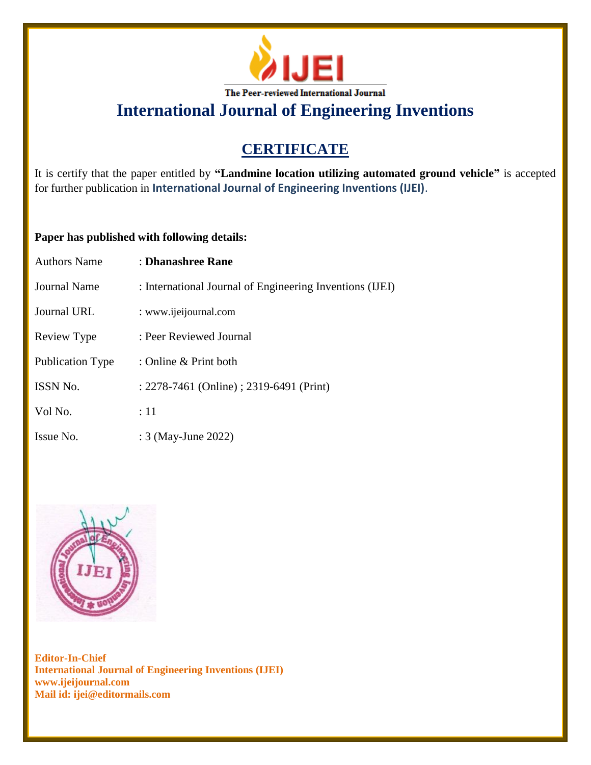

# **CERTIFICATE**

It is certify that the paper entitled by **"Landmine location utilizing automated ground vehicle"** is accepted for further publication in **International Journal of Engineering Inventions (IJEI)**.

## **Paper has published with following details:**

| <b>Authors Name</b> | : Dhanashree Rane                                        |
|---------------------|----------------------------------------------------------|
| Journal Name        | : International Journal of Engineering Inventions (IJEI) |
| <b>Journal URL</b>  | : www.ijeijournal.com                                    |
| Review Type         | : Peer Reviewed Journal                                  |
| Publication Type    | : Online & Print both                                    |
| <b>ISSN No.</b>     | : 2278-7461 (Online) ; 2319-6491 (Print)                 |
| Vol No.             | :11                                                      |
| Issue No.           | : 3 (May-June 2022)                                      |

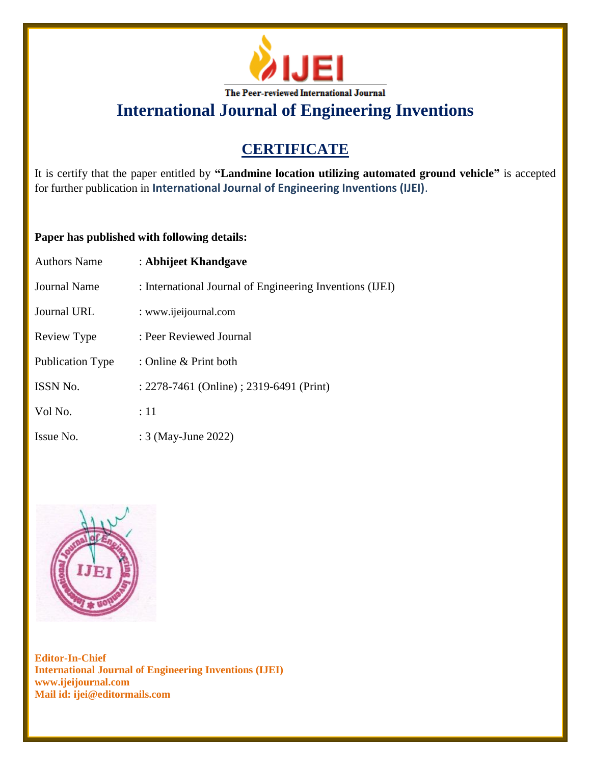

# **CERTIFICATE**

It is certify that the paper entitled by **"Landmine location utilizing automated ground vehicle"** is accepted for further publication in **International Journal of Engineering Inventions (IJEI)**.

## **Paper has published with following details:**

| <b>Authors Name</b>     | : Abhijeet Khandgave                                     |
|-------------------------|----------------------------------------------------------|
| <b>Journal Name</b>     | : International Journal of Engineering Inventions (IJEI) |
| <b>Journal URL</b>      | : www.ijeijournal.com                                    |
| Review Type             | : Peer Reviewed Journal                                  |
| <b>Publication Type</b> | : Online $&$ Print both                                  |
| <b>ISSN No.</b>         | : 2278-7461 (Online) ; 2319-6491 (Print)                 |
| Vol No.                 | :11                                                      |
| Issue No.               | : 3 (May-June 2022)                                      |

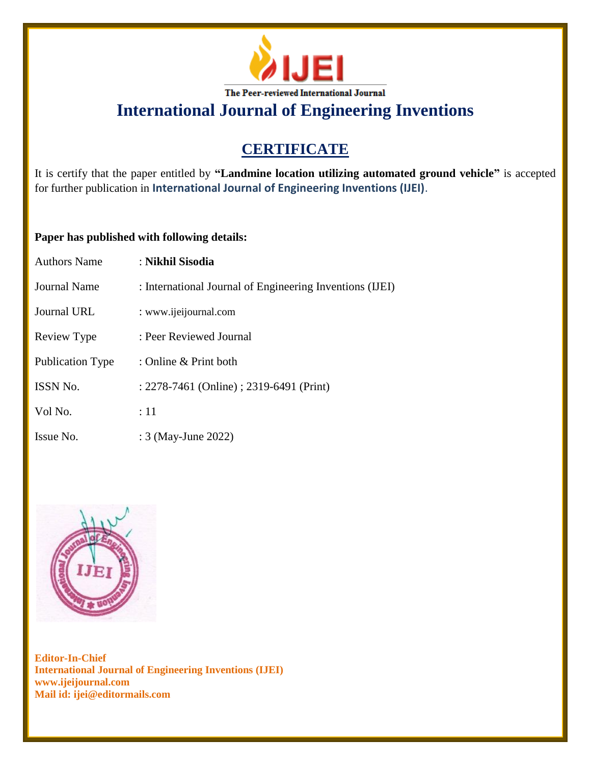

# **CERTIFICATE**

It is certify that the paper entitled by **"Landmine location utilizing automated ground vehicle"** is accepted for further publication in **International Journal of Engineering Inventions (IJEI)**.

## **Paper has published with following details:**

| <b>Authors Name</b> | : Nikhil Sisodia                                         |
|---------------------|----------------------------------------------------------|
| Journal Name        | : International Journal of Engineering Inventions (IJEI) |
| Journal URL         | : www.ijeijournal.com                                    |
| Review Type         | : Peer Reviewed Journal                                  |
| Publication Type    | : Online & Print both                                    |
| <b>ISSN No.</b>     | : 2278-7461 (Online) ; 2319-6491 (Print)                 |
| Vol No.             | :11                                                      |
| Issue No.           | : 3 (May-June 2022)                                      |